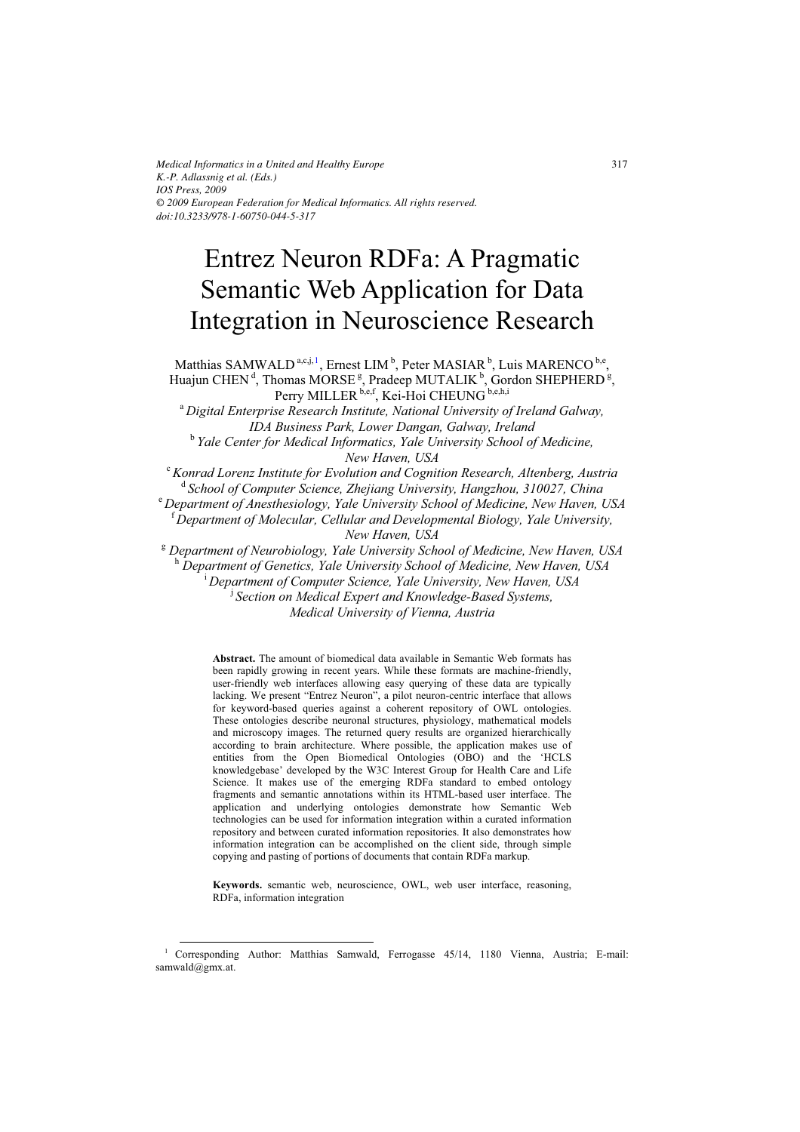*Medical Informatics in a United and Healthy Europe K.-P. Adlassnig et al. (Eds.) IOS Press, 2009 © 2009 European Federation for Medical Informatics. All rights reserved. doi:10.3233/978-1-60750-044-5-317*

# Entrez Neuron RDFa: A Pragmatic Semantic Web Application for Data Integration in Neuroscience Research

Matthias SAMWALD<sup>a,c,j, 1</sup>, Ernest LIM<sup>b</sup>, Peter MASIAR<sup>b</sup>, Luis MARENCO<sup>b,e</sup>, Huajun CHEN<sup>d</sup>, Thomas MORSE<sup>g</sup>, Pradeep MUTALIK<sup>b</sup>, Gordon SHEPHERD<sup>g</sup>, Perry MILLER b,e,f, Kei-Hoi CHEUNG b,e,h,i

<sup>a</sup> *Digital Enterprise Research Institute, National University of Ireland Galway, IDA Business Park, Lower Dangan, Galway, Ireland* 

<sup>b</sup> Yale Center for Medical Informatics, Yale University School of Medicine, *New Haven, USA* 

<sup>c</sup>*Konrad Lorenz Institute for Evolution and Cognition Research, Altenberg, Austria*  <sup>d</sup> School of Computer Science, Zhejiang University, Hangzhou, 310027, China

<sup>e</sup> *Department of Anesthesiology, Yale University School of Medicine, New Haven, USA* 

<sup>f</sup> *Department of Molecular, Cellular and Developmental Biology, Yale University, New Haven, USA* 

<sup>g</sup> Department of Neurobiology, Yale University School of Medicine, New Haven, USA <sup>h</sup> Department of Genetics, Yale University School of Medicine, New Haven, USA

<sup>i</sup> *Department of Computer Science, Yale University, New Haven, USA* 

j *Section on Medical Expert and Knowledge-Based Systems,* 

*Medical University of Vienna, Austria* 

**Abstract.** The amount of biomedical data available in Semantic Web formats has been rapidly growing in recent years. While these formats are machine-friendly, user-friendly web interfaces allowing easy querying of these data are typically lacking. We present "Entrez Neuron", a pilot neuron-centric interface that allows for keyword-based queries against a coherent repository of OWL ontologies. These ontologies describe neuronal structures, physiology, mathematical models and microscopy images. The returned query results are organized hierarchically according to brain architecture. Where possible, the application makes use of entities from the Open Biomedical Ontologies (OBO) and the 'HCLS knowledgebase' developed by the W3C Interest Group for Health Care and Life Science. It makes use of the emerging RDFa standard to embed ontology fragments and semantic annotations within its HTML-based user interface. The application and underlying ontologies demonstrate how Semantic Web technologies can be used for information integration within a curated information repository and between curated information repositories. It also demonstrates how information integration can be accomplished on the client side, through simple copying and pasting of portions of documents that contain RDFa markup.

**Keywords.** semantic web, neuroscience, OWL, web user interface, reasoning, RDFa, information integration

<sup>-</sup>

<sup>1</sup> Corresponding Author: Matthias Samwald, Ferrogasse 45/14, 1180 Vienna, Austria; E-mail: samwald@gmx.at.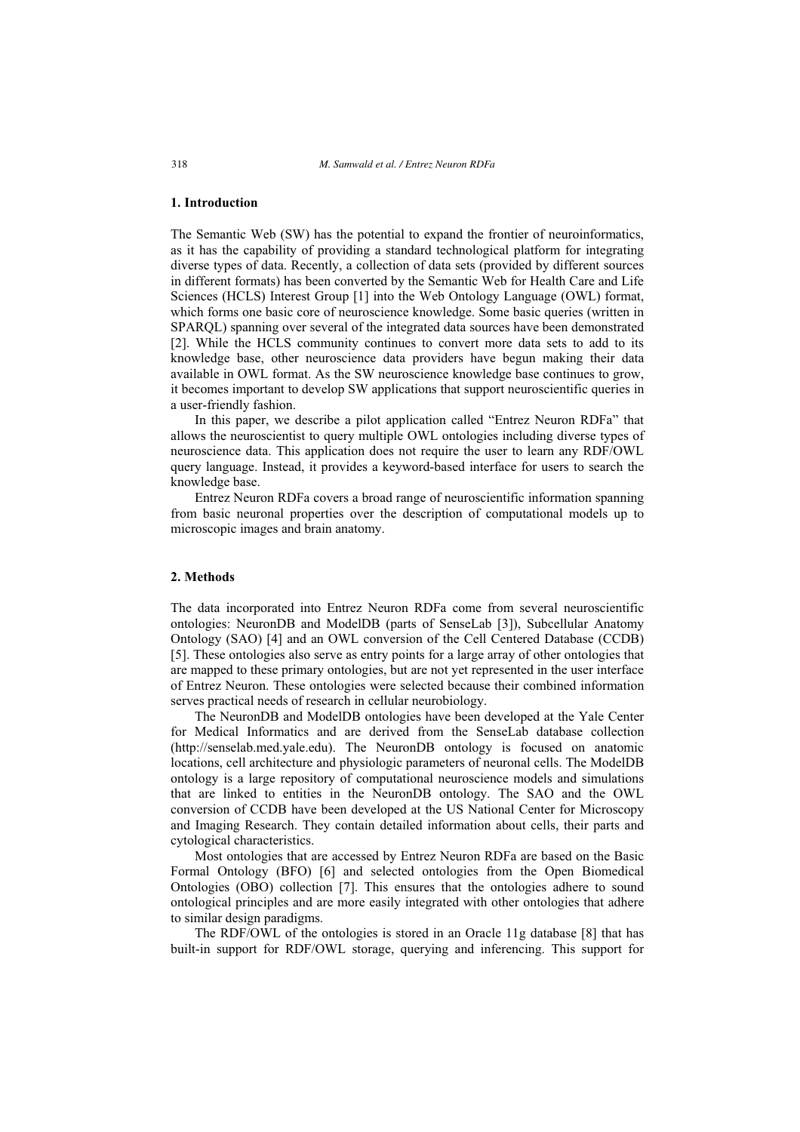### **1. Introduction**

The Semantic Web (SW) has the potential to expand the frontier of neuroinformatics, as it has the capability of providing a standard technological platform for integrating diverse types of data. Recently, a collection of data sets (provided by different sources in different formats) has been converted by the Semantic Web for Health Care and Life Sciences (HCLS) Interest Group [1] into the Web Ontology Language (OWL) format, which forms one basic core of neuroscience knowledge. Some basic queries (written in SPARQL) spanning over several of the integrated data sources have been demonstrated [2]. While the HCLS community continues to convert more data sets to add to its knowledge base, other neuroscience data providers have begun making their data available in OWL format. As the SW neuroscience knowledge base continues to grow, it becomes important to develop SW applications that support neuroscientific queries in a user-friendly fashion.

In this paper, we describe a pilot application called "Entrez Neuron RDFa" that allows the neuroscientist to query multiple OWL ontologies including diverse types of neuroscience data. This application does not require the user to learn any RDF/OWL query language. Instead, it provides a keyword-based interface for users to search the knowledge base.

Entrez Neuron RDFa covers a broad range of neuroscientific information spanning from basic neuronal properties over the description of computational models up to microscopic images and brain anatomy.

### **2. Methods**

The data incorporated into Entrez Neuron RDFa come from several neuroscientific ontologies: NeuronDB and ModelDB (parts of SenseLab [3]), Subcellular Anatomy Ontology (SAO) [4] and an OWL conversion of the Cell Centered Database (CCDB) [5]. These ontologies also serve as entry points for a large array of other ontologies that are mapped to these primary ontologies, but are not yet represented in the user interface of Entrez Neuron. These ontologies were selected because their combined information serves practical needs of research in cellular neurobiology.

The NeuronDB and ModelDB ontologies have been developed at the Yale Center for Medical Informatics and are derived from the SenseLab database collection (http://senselab.med.yale.edu). The NeuronDB ontology is focused on anatomic locations, cell architecture and physiologic parameters of neuronal cells. The ModelDB ontology is a large repository of computational neuroscience models and simulations that are linked to entities in the NeuronDB ontology. The SAO and the OWL conversion of CCDB have been developed at the US National Center for Microscopy and Imaging Research. They contain detailed information about cells, their parts and cytological characteristics.

Most ontologies that are accessed by Entrez Neuron RDFa are based on the Basic Formal Ontology (BFO) [6] and selected ontologies from the Open Biomedical Ontologies (OBO) collection [7]. This ensures that the ontologies adhere to sound ontological principles and are more easily integrated with other ontologies that adhere to similar design paradigms.

The RDF/OWL of the ontologies is stored in an Oracle 11g database [8] that has built-in support for RDF/OWL storage, querying and inferencing. This support for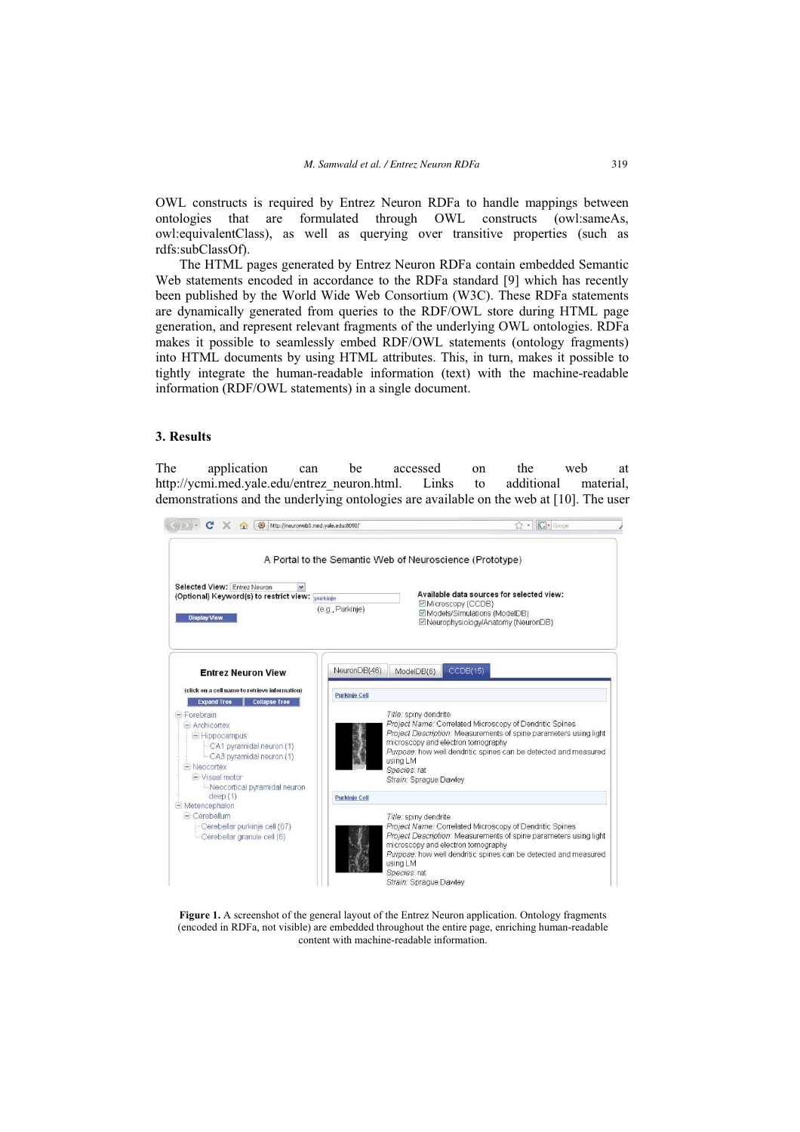OWL constructs is required by Entrez Neuron RDFa to handle mappings between ontologies that are formulated through OWL constructs (owl:sameAs, owl:equivalentClass), as well as querying over transitive properties (such as rdfs:subClassOf).

The HTML pages generated by Entrez Neuron RDFa contain embedded Semantic Web statements encoded in accordance to the RDFa standard [9] which has recently been published by the World Wide Web Consortium (W3C). These RDFa statements are dynamically generated from queries to the RDF/OWL store during HTML page generation, and represent relevant fragments of the underlying OWL ontologies. RDFa makes it possible to seamlessly embed RDF/OWL statements (ontology fragments) into HTML documents by using HTML attributes. This, in turn, makes it possible to tightly integrate the human-readable information (text) with the machine-readable information (RDF/OWL statements) in a single document.

#### **3. Results**

The application can be accessed on the web at http://ycmi.med.yale.edu/entrez\_neuron.html. Links to additional material, demonstrations and the underlying ontologies are available on the web at [10]. The user



**Figure 1.** A screenshot of the general layout of the Entrez Neuron application. Ontology fragments (encoded in RDFa, not visible) are embedded throughout the entire page, enriching human-readable content with machine-readable information.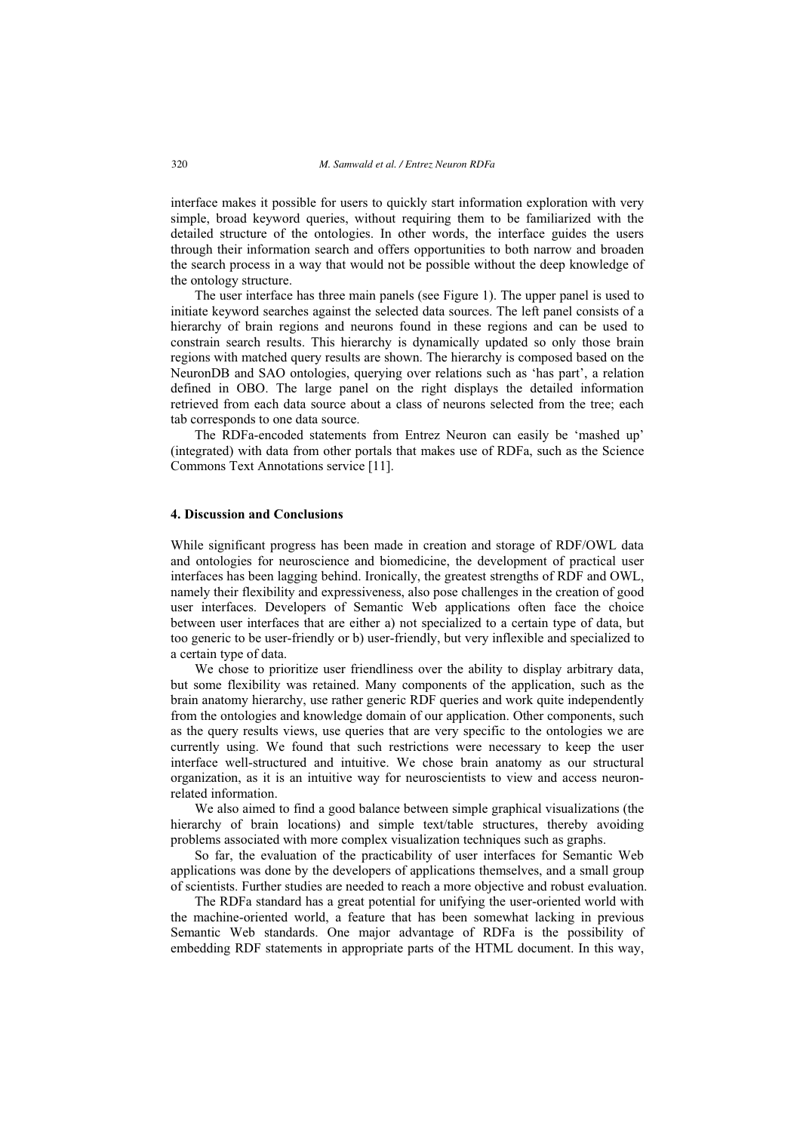interface makes it possible for users to quickly start information exploration with very simple, broad keyword queries, without requiring them to be familiarized with the detailed structure of the ontologies. In other words, the interface guides the users through their information search and offers opportunities to both narrow and broaden the search process in a way that would not be possible without the deep knowledge of the ontology structure.

The user interface has three main panels (see Figure 1). The upper panel is used to initiate keyword searches against the selected data sources. The left panel consists of a hierarchy of brain regions and neurons found in these regions and can be used to constrain search results. This hierarchy is dynamically updated so only those brain regions with matched query results are shown. The hierarchy is composed based on the NeuronDB and SAO ontologies, querying over relations such as 'has part', a relation defined in OBO. The large panel on the right displays the detailed information retrieved from each data source about a class of neurons selected from the tree; each tab corresponds to one data source.

The RDFa-encoded statements from Entrez Neuron can easily be 'mashed up' (integrated) with data from other portals that makes use of RDFa, such as the Science Commons Text Annotations service [11].

## **4. Discussion and Conclusions**

While significant progress has been made in creation and storage of RDF/OWL data and ontologies for neuroscience and biomedicine, the development of practical user interfaces has been lagging behind. Ironically, the greatest strengths of RDF and OWL, namely their flexibility and expressiveness, also pose challenges in the creation of good user interfaces. Developers of Semantic Web applications often face the choice between user interfaces that are either a) not specialized to a certain type of data, but too generic to be user-friendly or b) user-friendly, but very inflexible and specialized to a certain type of data.

We chose to prioritize user friendliness over the ability to display arbitrary data, but some flexibility was retained. Many components of the application, such as the brain anatomy hierarchy, use rather generic RDF queries and work quite independently from the ontologies and knowledge domain of our application. Other components, such as the query results views, use queries that are very specific to the ontologies we are currently using. We found that such restrictions were necessary to keep the user interface well-structured and intuitive. We chose brain anatomy as our structural organization, as it is an intuitive way for neuroscientists to view and access neuronrelated information.

We also aimed to find a good balance between simple graphical visualizations (the hierarchy of brain locations) and simple text/table structures, thereby avoiding problems associated with more complex visualization techniques such as graphs.

So far, the evaluation of the practicability of user interfaces for Semantic Web applications was done by the developers of applications themselves, and a small group of scientists. Further studies are needed to reach a more objective and robust evaluation.

The RDFa standard has a great potential for unifying the user-oriented world with the machine-oriented world, a feature that has been somewhat lacking in previous Semantic Web standards. One major advantage of RDFa is the possibility of embedding RDF statements in appropriate parts of the HTML document. In this way,